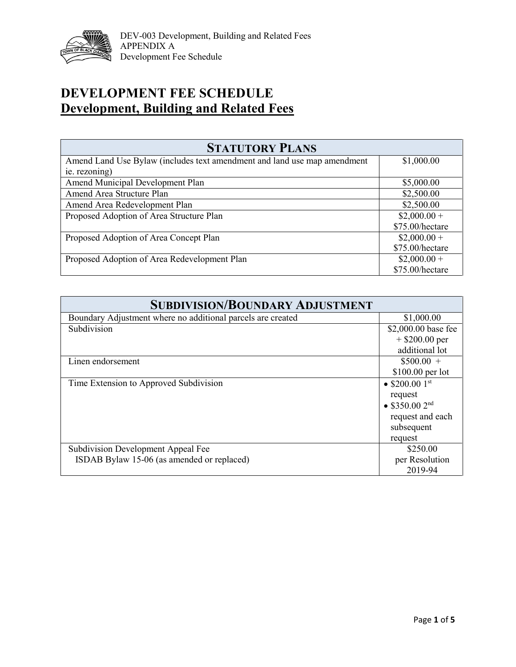

## **DEVELOPMENT FEE SCHEDULE Development, Building and Related Fees**

| <b>STATUTORY PLANS</b>                                                   |                 |  |
|--------------------------------------------------------------------------|-----------------|--|
| Amend Land Use Bylaw (includes text amendment and land use map amendment | \$1,000.00      |  |
| ie. rezoning)                                                            |                 |  |
| Amend Municipal Development Plan                                         | \$5,000.00      |  |
| Amend Area Structure Plan                                                | \$2,500.00      |  |
| Amend Area Redevelopment Plan                                            | \$2,500.00      |  |
| Proposed Adoption of Area Structure Plan                                 | $$2,000.00+$    |  |
|                                                                          | \$75.00/hectare |  |
| Proposed Adoption of Area Concept Plan                                   | $$2,000.00+$    |  |
|                                                                          | \$75.00/hectare |  |
| Proposed Adoption of Area Redevelopment Plan                             | $$2,000.00+$    |  |
|                                                                          | \$75.00/hectare |  |

| <b>SUBDIVISION/BOUNDARY ADJUSTMENT</b>                      |                            |
|-------------------------------------------------------------|----------------------------|
| Boundary Adjustment where no additional parcels are created | \$1,000.00                 |
| Subdivision                                                 | \$2,000.00 base fee        |
|                                                             | $+$ \$200.00 per           |
|                                                             | additional lot             |
| Linen endorsement                                           | $$500.00 +$                |
|                                                             | $$100.00$ per lot          |
| Time Extension to Approved Subdivision                      | • $$200.001$ <sup>st</sup> |
|                                                             | request                    |
|                                                             | • \$350.00 $2^{nd}$        |
|                                                             | request and each           |
|                                                             | subsequent                 |
|                                                             | request                    |
| Subdivision Development Appeal Fee                          | \$250.00                   |
| ISDAB Bylaw 15-06 (as amended or replaced)                  | per Resolution             |
|                                                             | 2019-94                    |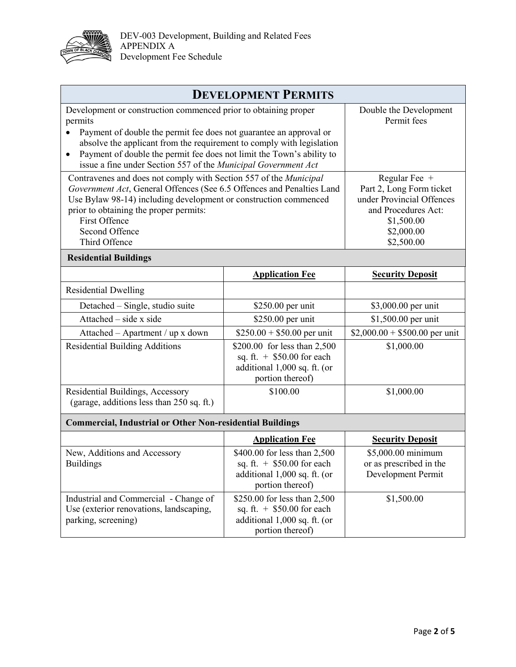

| <b>DEVELOPMENT PERMITS</b>                                                                                                                                                                                                                                                                                          |                                                                                                                  |                                                                                                                                           |
|---------------------------------------------------------------------------------------------------------------------------------------------------------------------------------------------------------------------------------------------------------------------------------------------------------------------|------------------------------------------------------------------------------------------------------------------|-------------------------------------------------------------------------------------------------------------------------------------------|
| Development or construction commenced prior to obtaining proper<br>permits                                                                                                                                                                                                                                          |                                                                                                                  | Double the Development<br>Permit fees                                                                                                     |
| Payment of double the permit fee does not guarantee an approval or<br>absolve the applicant from the requirement to comply with legislation<br>Payment of double the permit fee does not limit the Town's ability to<br>$\bullet$<br>issue a fine under Section 557 of the Municipal Government Act                 |                                                                                                                  |                                                                                                                                           |
| Contravenes and does not comply with Section 557 of the Municipal<br>Government Act, General Offences (See 6.5 Offences and Penalties Land<br>Use Bylaw 98-14) including development or construction commenced<br>prior to obtaining the proper permits:<br><b>First Offence</b><br>Second Offence<br>Third Offence |                                                                                                                  | Regular Fee $+$<br>Part 2, Long Form ticket<br>under Provincial Offences<br>and Procedures Act:<br>\$1,500.00<br>\$2,000.00<br>\$2,500.00 |
| <b>Residential Buildings</b>                                                                                                                                                                                                                                                                                        |                                                                                                                  |                                                                                                                                           |
|                                                                                                                                                                                                                                                                                                                     | <b>Application Fee</b>                                                                                           | <b>Security Deposit</b>                                                                                                                   |
| <b>Residential Dwelling</b>                                                                                                                                                                                                                                                                                         |                                                                                                                  |                                                                                                                                           |
| Detached – Single, studio suite                                                                                                                                                                                                                                                                                     | \$250.00 per unit                                                                                                | \$3,000.00 per unit                                                                                                                       |
| Attached – side x side                                                                                                                                                                                                                                                                                              | \$250.00 per unit                                                                                                | \$1,500.00 per unit                                                                                                                       |
| Attached – Apartment / up x down                                                                                                                                                                                                                                                                                    | $$250.00 + $50.00$ per unit                                                                                      | $$2,000.00 + $500.00$ per unit                                                                                                            |
| <b>Residential Building Additions</b>                                                                                                                                                                                                                                                                               | \$200.00 for less than 2,500<br>sq. ft. $+$ \$50.00 for each<br>additional 1,000 sq. ft. (or<br>portion thereof) | \$1,000.00                                                                                                                                |
| Residential Buildings, Accessory<br>(garage, additions less than 250 sq. ft.)                                                                                                                                                                                                                                       | \$100.00                                                                                                         | \$1,000.00                                                                                                                                |
| <b>Commercial, Industrial or Other Non-residential Buildings</b>                                                                                                                                                                                                                                                    |                                                                                                                  |                                                                                                                                           |
|                                                                                                                                                                                                                                                                                                                     | <b>Application Fee</b>                                                                                           | <b>Security Deposit</b>                                                                                                                   |
| New, Additions and Accessory<br><b>Buildings</b>                                                                                                                                                                                                                                                                    | \$400.00 for less than 2,500<br>sq. ft. $+$ \$50.00 for each<br>additional 1,000 sq. ft. (or<br>portion thereof) | \$5,000.00 minimum<br>or as prescribed in the<br>Development Permit                                                                       |
| Industrial and Commercial - Change of<br>Use (exterior renovations, landscaping,<br>parking, screening)                                                                                                                                                                                                             | \$250.00 for less than 2,500<br>sq. ft. $+$ \$50.00 for each<br>additional 1,000 sq. ft. (or<br>portion thereof) | \$1,500.00                                                                                                                                |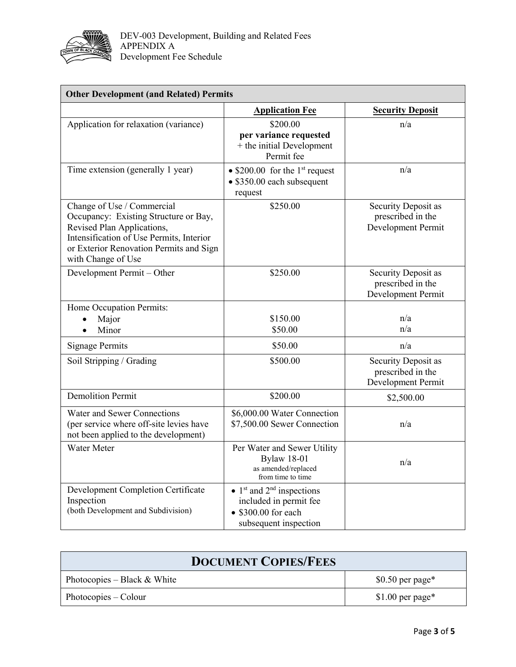

| <b>Other Development (and Related) Permits</b>                                                                                                                                                                 |                                                                                                                                             |                                                                |
|----------------------------------------------------------------------------------------------------------------------------------------------------------------------------------------------------------------|---------------------------------------------------------------------------------------------------------------------------------------------|----------------------------------------------------------------|
|                                                                                                                                                                                                                | <b>Application Fee</b>                                                                                                                      | <b>Security Deposit</b>                                        |
| Application for relaxation (variance)                                                                                                                                                                          | \$200.00<br>per variance requested<br>+ the initial Development<br>Permit fee                                                               | n/a                                                            |
| Time extension (generally 1 year)                                                                                                                                                                              | $\bullet$ \$200.00 for the 1 <sup>st</sup> request<br>• \$350.00 each subsequent<br>request                                                 | n/a                                                            |
| Change of Use / Commercial<br>Occupancy: Existing Structure or Bay,<br>Revised Plan Applications,<br>Intensification of Use Permits, Interior<br>or Exterior Renovation Permits and Sign<br>with Change of Use | \$250.00                                                                                                                                    | Security Deposit as<br>prescribed in the<br>Development Permit |
| Development Permit - Other                                                                                                                                                                                     | \$250.00                                                                                                                                    | Security Deposit as<br>prescribed in the<br>Development Permit |
| Home Occupation Permits:<br>Major<br>Minor                                                                                                                                                                     | \$150.00<br>\$50.00                                                                                                                         | n/a<br>n/a                                                     |
| <b>Signage Permits</b>                                                                                                                                                                                         | \$50.00                                                                                                                                     | n/a                                                            |
| Soil Stripping / Grading                                                                                                                                                                                       | \$500.00                                                                                                                                    | Security Deposit as<br>prescribed in the<br>Development Permit |
| <b>Demolition Permit</b>                                                                                                                                                                                       | \$200.00                                                                                                                                    | \$2,500.00                                                     |
| Water and Sewer Connections<br>(per service where off-site levies have<br>not been applied to the development)                                                                                                 | \$6,000.00 Water Connection<br>\$7,500.00 Sewer Connection                                                                                  | n/a                                                            |
| Water Meter                                                                                                                                                                                                    | Per Water and Sewer Utility<br><b>Bylaw 18-01</b><br>as amended/replaced<br>from time to time                                               | n/a                                                            |
| Development Completion Certificate<br>Inspection<br>(both Development and Subdivision)                                                                                                                         | $\bullet$ 1 <sup>st</sup> and 2 <sup>nd</sup> inspections<br>included in permit fee<br>$\bullet$ \$300.00 for each<br>subsequent inspection |                                                                |

| <b>DOCUMENT COPIES/FEES</b>   |                   |
|-------------------------------|-------------------|
| Photocopies – Black $&$ White | $$0.50$ per page* |
| Photocopies – Colour          | \$1.00 per page*  |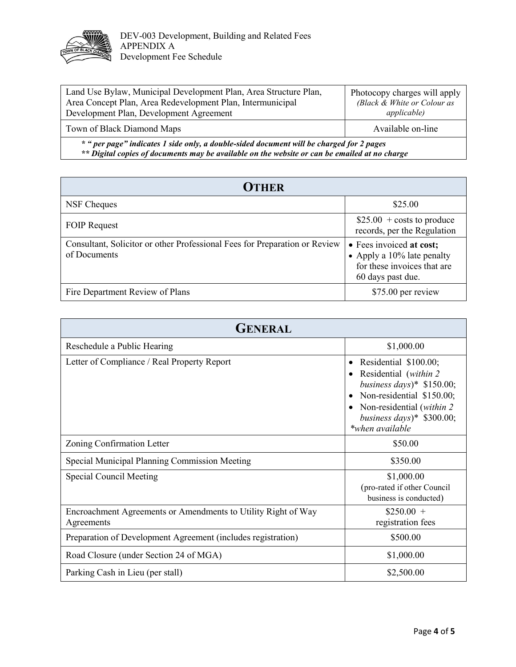

| Land Use Bylaw, Municipal Development Plan, Area Structure Plan,<br>Area Concept Plan, Area Redevelopment Plan, Intermunicipal<br>Development Plan, Development Agreement                 | Photocopy charges will apply<br>(Black & White or Colour as<br><i>applicable</i> ) |
|-------------------------------------------------------------------------------------------------------------------------------------------------------------------------------------------|------------------------------------------------------------------------------------|
| Town of Black Diamond Maps                                                                                                                                                                | Available on-line                                                                  |
| * " per page" indicates 1 side only, a double-sided document will be charged for 2 pages<br>** Digital copies of documents may be available on the website or can be emailed at no charge |                                                                                    |

| <b>OTHER</b>                                                                               |                                                                                                               |  |
|--------------------------------------------------------------------------------------------|---------------------------------------------------------------------------------------------------------------|--|
| NSF Cheques                                                                                | \$25.00                                                                                                       |  |
| <b>FOIP Request</b>                                                                        | $$25.00 + \text{costs}$ to produce<br>records, per the Regulation                                             |  |
| Consultant, Solicitor or other Professional Fees for Preparation or Review<br>of Documents | • Fees invoiced at cost;<br>• Apply a $10\%$ late penalty<br>for these invoices that are<br>60 days past due. |  |
| Fire Department Review of Plans                                                            | \$75.00 per review                                                                                            |  |

| <b>GENERAL</b>                                                              |                                                                                                                                                                                                         |  |
|-----------------------------------------------------------------------------|---------------------------------------------------------------------------------------------------------------------------------------------------------------------------------------------------------|--|
| Reschedule a Public Hearing                                                 | \$1,000.00                                                                                                                                                                                              |  |
| Letter of Compliance / Real Property Report                                 | Residential \$100.00;<br>$\bullet$<br>Residential (within 2)<br>business days)* $$150.00;$<br>Non-residential \$150.00;<br>Non-residential (within 2)<br>business days)* $$300.00$ ;<br>*when available |  |
| Zoning Confirmation Letter                                                  | \$50.00                                                                                                                                                                                                 |  |
| Special Municipal Planning Commission Meeting                               | \$350.00                                                                                                                                                                                                |  |
| <b>Special Council Meeting</b>                                              | \$1,000.00<br>(pro-rated if other Council<br>business is conducted)                                                                                                                                     |  |
| Encroachment Agreements or Amendments to Utility Right of Way<br>Agreements | $$250.00 +$<br>registration fees                                                                                                                                                                        |  |
| Preparation of Development Agreement (includes registration)                | \$500.00                                                                                                                                                                                                |  |
| Road Closure (under Section 24 of MGA)                                      | \$1,000.00                                                                                                                                                                                              |  |
| Parking Cash in Lieu (per stall)                                            | \$2,500.00                                                                                                                                                                                              |  |